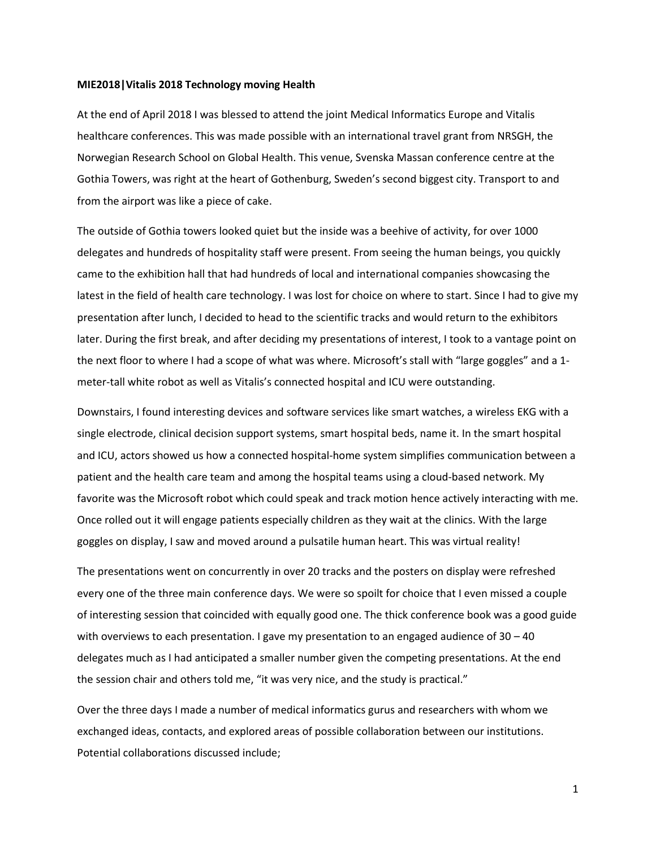## **MIE2018|Vitalis 2018 Technology moving Health**

At the end of April 2018 I was blessed to attend the joint Medical Informatics Europe and Vitalis healthcare conferences. This was made possible with an international travel grant from NRSGH, the Norwegian Research School on Global Health. This venue, Svenska Massan conference centre at the Gothia Towers, was right at the heart of Gothenburg, Sweden's second biggest city. Transport to and from the airport was like a piece of cake.

The outside of Gothia towers looked quiet but the inside was a beehive of activity, for over 1000 delegates and hundreds of hospitality staff were present. From seeing the human beings, you quickly came to the exhibition hall that had hundreds of local and international companies showcasing the latest in the field of health care technology. I was lost for choice on where to start. Since I had to give my presentation after lunch, I decided to head to the scientific tracks and would return to the exhibitors later. During the first break, and after deciding my presentations of interest, I took to a vantage point on the next floor to where I had a scope of what was where. Microsoft's stall with "large goggles" and a 1 meter-tall white robot as well as Vitalis's connected hospital and ICU were outstanding.

Downstairs, I found interesting devices and software services like smart watches, a wireless EKG with a single electrode, clinical decision support systems, smart hospital beds, name it. In the smart hospital and ICU, actors showed us how a connected hospital-home system simplifies communication between a patient and the health care team and among the hospital teams using a cloud-based network. My favorite was the Microsoft robot which could speak and track motion hence actively interacting with me. Once rolled out it will engage patients especially children as they wait at the clinics. With the large goggles on display, I saw and moved around a pulsatile human heart. This was virtual reality!

The presentations went on concurrently in over 20 tracks and the posters on display were refreshed every one of the three main conference days. We were so spoilt for choice that I even missed a couple of interesting session that coincided with equally good one. The thick conference book was a good guide with overviews to each presentation. I gave my presentation to an engaged audience of  $30 - 40$ delegates much as I had anticipated a smaller number given the competing presentations. At the end the session chair and others told me, "it was very nice, and the study is practical."

Over the three days I made a number of medical informatics gurus and researchers with whom we exchanged ideas, contacts, and explored areas of possible collaboration between our institutions. Potential collaborations discussed include;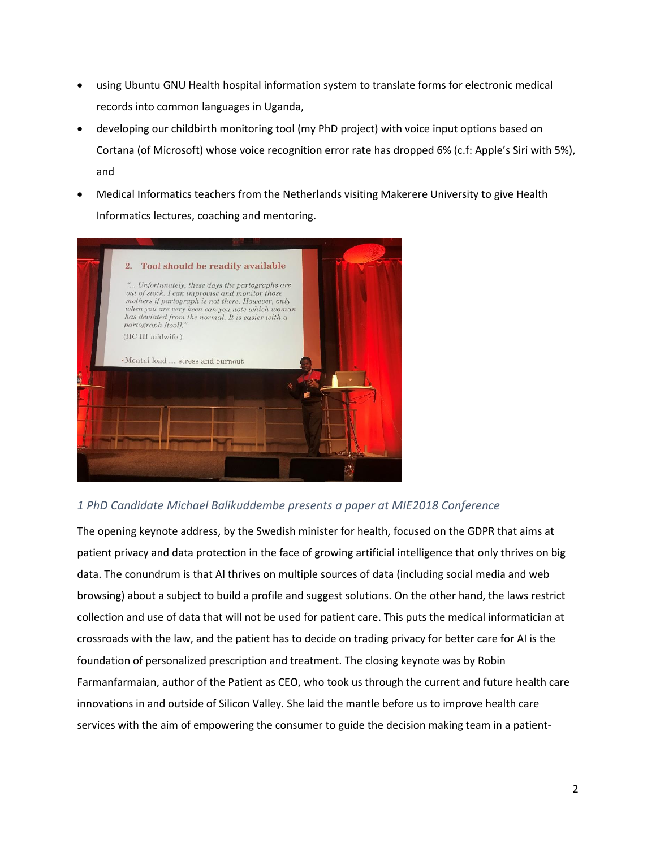- using Ubuntu GNU Health hospital information system to translate forms for electronic medical records into common languages in Uganda,
- developing our childbirth monitoring tool (my PhD project) with voice input options based on Cortana (of Microsoft) whose voice recognition error rate has dropped 6% (c.f: Apple's Siri with 5%), and
- Medical Informatics teachers from the Netherlands visiting Makerere University to give Health Informatics lectures, coaching and mentoring.



## *1 PhD Candidate Michael Balikuddembe presents a paper at MIE2018 Conference*

The opening keynote address, by the Swedish minister for health, focused on the GDPR that aims at patient privacy and data protection in the face of growing artificial intelligence that only thrives on big data. The conundrum is that AI thrives on multiple sources of data (including social media and web browsing) about a subject to build a profile and suggest solutions. On the other hand, the laws restrict collection and use of data that will not be used for patient care. This puts the medical informatician at crossroads with the law, and the patient has to decide on trading privacy for better care for AI is the foundation of personalized prescription and treatment. The closing keynote was by Robin Farmanfarmaian, author of the Patient as CEO, who took us through the current and future health care innovations in and outside of Silicon Valley. She laid the mantle before us to improve health care services with the aim of empowering the consumer to guide the decision making team in a patient